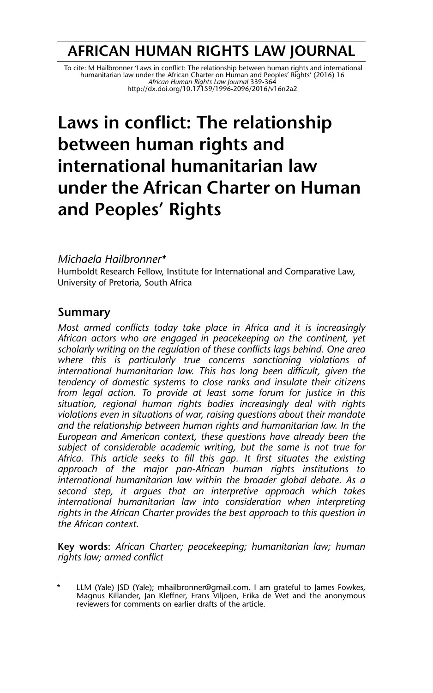# **AFRICAN HUMAN RIGHTS LAW JOURNAL**

To cite: M Hailbronner 'Laws in conflict: The relationship between human rights and international<br>humanitarian law under the African Charter on Human and Peoples' Rights' (2016) 16<br>African Human Rights Law Journal 339-364 http://dx.doi.org/10.17159/1996-2096/2016/v16n2a2

# **Laws in conflict: The relationship between human rights and international humanitarian law under the African Charter on Human and Peoples' Rights**

#### *Michaela Hailbronner\**

Humboldt Research Fellow, Institute for International and Comparative Law, University of Pretoria, South Africa

## **Summary**

*Most armed conflicts today take place in Africa and it is increasingly African actors who are engaged in peacekeeping on the continent, yet scholarly writing on the regulation of these conflicts lags behind. One area where this is particularly true concerns sanctioning violations of international humanitarian law. This has long been difficult, given the tendency of domestic systems to close ranks and insulate their citizens from legal action. To provide at least some forum for justice in this situation, regional human rights bodies increasingly deal with rights violations even in situations of war, raising questions about their mandate and the relationship between human rights and humanitarian law. In the European and American context, these questions have already been the subject of considerable academic writing, but the same is not true for Africa. This article seeks to fill this gap. It first situates the existing approach of the major pan-African human rights institutions to international humanitarian law within the broader global debate. As a second step, it argues that an interpretive approach which takes international humanitarian law into consideration when interpreting rights in the African Charter provides the best approach to this question in the African context.*

**Key words**: *African Charter; peacekeeping; humanitarian law; human rights law; armed conflict*

LLM (Yale) JSD (Yale); mhailbronner@gmail.com. I am grateful to James Fowkes, Magnus Killander, Jan Kleffner, Frans Viljoen, Erika de Wet and the anonymous reviewers for comments on earlier drafts of the article.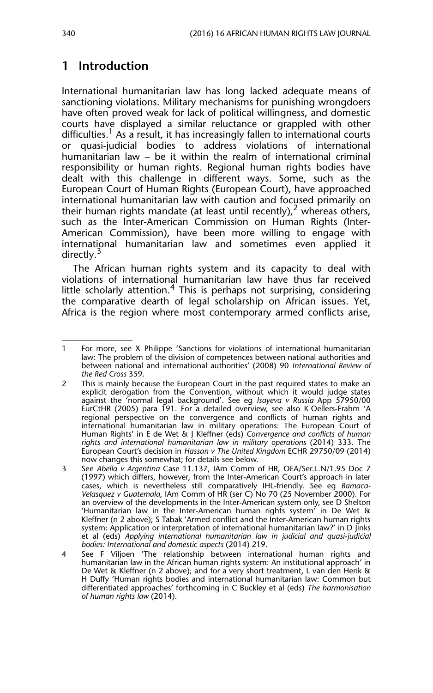# **1 Introduction**

International humanitarian law has long lacked adequate means of sanctioning violations. Military mechanisms for punishing wrongdoers have often proved weak for lack of political willingness, and domestic courts have displayed a similar reluctance or grappled with other difficulties.<sup>1</sup> As a result, it has increasingly fallen to international courts or quasi-judicial bodies to address violations of international humanitarian law – be it within the realm of international criminal responsibility or human rights. Regional human rights bodies have dealt with this challenge in different ways. Some, such as the European Court of Human Rights (European Court), have approached international humanitarian law with caution and focused primarily on their human rights mandate (at least until recently), whereas others, such as the Inter-American Commission on Human Rights (Inter-American Commission), have been more willing to engage with international humanitarian law and sometimes even applied it directly.<sup>3</sup>

The African human rights system and its capacity to deal with violations of international humanitarian law have thus far received little scholarly attention. $4$  This is perhaps not surprising, considering the comparative dearth of legal scholarship on African issues. Yet, Africa is the region where most contemporary armed conflicts arise,

<sup>1</sup> For more, see X Philippe 'Sanctions for violations of international humanitarian law: The problem of the division of competences between national authorities and between national and international authorities' (2008) 90 *International Review of the Red Cross* 359.

<sup>2</sup> This is mainly because the European Court in the past required states to make an explicit derogation from the Convention, without which it would judge states against the 'normal legal background'. See eg *Isayeva v Russia* App 57950/00 EurCtHR (2005) para 191. For a detailed overview, see also K Oellers-Frahm 'A regional perspective on the convergence and conflicts of human rights and international humanitarian law in military operations: The European Court of Human Rights' in E de Wet & J Kleffner (eds) *Convergence and conflicts of human rights and international humanitarian law in military operations* (2014) 333. The European Court's decision in *Hassan v The United Kingdom* ECHR 29750/09 (2014) now changes this somewhat; for details see below.

<sup>3</sup> See *Abella v Argentina* Case 11.137, IAm Comm of HR, OEA/Ser.L.N/1.95 Doc 7 (1997) which differs, however, from the Inter-American Court's approach in later cases, which is nevertheless still comparatively IHL-friendly. See eg *Bamaca-Velasquez v Guatemala*, IAm Comm of HR (ser C) No 70 (25 November 2000). For an overview of the developments in the Inter-American system only, see D Shelton 'Humanitarian law in the Inter-American human rights system' in De Wet & Kleffner (n 2 above); S Tabak 'Armed conflict and the Inter-American human rights system: Application or interpretation of international humanitarian law?' in D Jinks et al (eds) *Applying international humanitarian law in judicial and quasi-judicial bodies: International and domestic aspects* (2014) 219.

<sup>4</sup> See F Viljoen 'The relationship between international human rights and humanitarian law in the African human rights system: An institutional approach' in De Wet & Kleffner (n 2 above); and for a very short treatment, L van den Herik & H Duffy 'Human rights bodies and international humanitarian law: Common but differentiated approaches' forthcoming in C Buckley et al (eds) *The harmonisation of human rights law* (2014).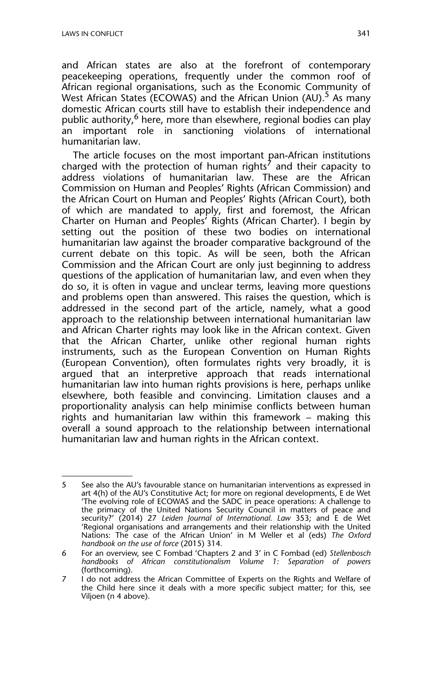and African states are also at the forefront of contemporary peacekeeping operations, frequently under the common roof of African regional organisations, such as the Economic Community of West African States (ECOWAS) and the African Union (AU).<sup>5</sup> As many domestic African courts still have to establish their independence and public authority, <sup>6</sup> here, more than elsewhere, regional bodies can play<br>an important role in sanctioning violations of international important role in sanctioning violations of international humanitarian law.

The article focuses on the most important pan-African institutions charged with the protection of human rights<sup>7</sup> and their capacity to address violations of humanitarian law. These are the African Commission on Human and Peoples' Rights (African Commission) and the African Court on Human and Peoples' Rights (African Court), both of which are mandated to apply, first and foremost, the African Charter on Human and Peoples' Rights (African Charter). I begin by setting out the position of these two bodies on international humanitarian law against the broader comparative background of the current debate on this topic. As will be seen, both the African Commission and the African Court are only just beginning to address questions of the application of humanitarian law, and even when they do so, it is often in vague and unclear terms, leaving more questions and problems open than answered. This raises the question, which is addressed in the second part of the article, namely, what a good approach to the relationship between international humanitarian law and African Charter rights may look like in the African context. Given that the African Charter, unlike other regional human rights instruments, such as the European Convention on Human Rights (European Convention), often formulates rights very broadly, it is argued that an interpretive approach that reads international humanitarian law into human rights provisions is here, perhaps unlike elsewhere, both feasible and convincing. Limitation clauses and a proportionality analysis can help minimise conflicts between human rights and humanitarian law within this framework – making this overall a sound approach to the relationship between international humanitarian law and human rights in the African context.

<sup>5</sup> See also the AU's favourable stance on humanitarian interventions as expressed in art 4(h) of the AU's Constitutive Act; for more on regional developments, E de Wet 'The evolving role of ECOWAS and the SADC in peace operations: A challenge to the primacy of the United Nations Security Council in matters of peace and security?' (2014) 27 *Leiden Journal of International. Law* 353; and E de Wet 'Regional organisations and arrangements and their relationship with the United Nations: The case of the African Union' in M Weller et al (eds) *The Oxford handbook on the use of force* (2015) 314*.*

<sup>6</sup> For an overview, see C Fombad 'Chapters 2 and 3' in C Fombad (ed) *Stellenbosch handbooks of African constitutionalism Volume 1: Separation of powers* (forthcoming).

<sup>7</sup> I do not address the African Committee of Experts on the Rights and Welfare of the Child here since it deals with a more specific subject matter; for this, see Viljoen (n 4 above).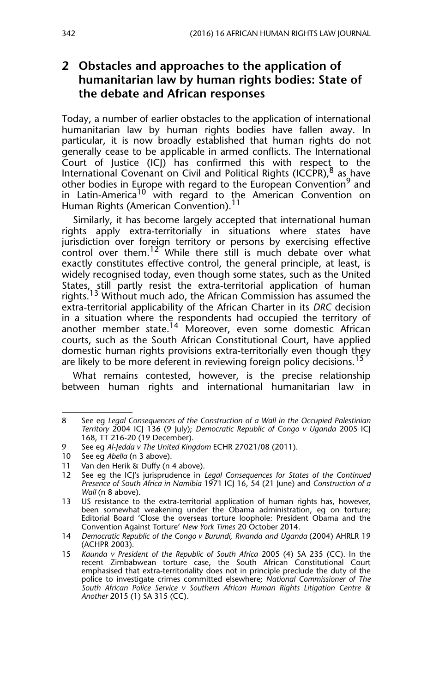#### **2 Obstacles and approaches to the application of humanitarian law by human rights bodies: State of the debate and African responses**

Today, a number of earlier obstacles to the application of international humanitarian law by human rights bodies have fallen away. In particular, it is now broadly established that human rights do not generally cease to be applicable in armed conflicts. The International Court of Justice (ICJ) has confirmed this with respect to the International Covenant on Civil and Political Rights (ICCPR), <sup>8</sup> as have other bodies in Europe with regard to the European Convention<sup>9</sup> and In Latin-America<sup>10</sup> with regard to the American Convention on Human Rights (American Convention).<sup>11</sup>

Similarly, it has become largely accepted that international human rights apply extra-territorially in situations where states have jurisdiction over foreign territory or persons by exercising effective control over them.<sup>12</sup> While there still is much debate over what exactly constitutes effective control, the general principle, at least, is widely recognised today, even though some states, such as the United States, still partly resist the extra-territorial application of human rights.<sup>13</sup> Without much ado, the African Commission has assumed the extra-territorial applicability of the African Charter in its *DRC* decision in a situation where the respondents had occupied the territory of another member state.14 Moreover, even some domestic African courts, such as the South African Constitutional Court, have applied domestic human rights provisions extra-territorially even though they are likely to be more deferent in reviewing foreign policy decisions.<sup>15</sup>

What remains contested, however, is the precise relationship between human rights and international humanitarian law in

<sup>8</sup> See eg *Legal Consequences of the Construction of a Wall in the Occupied Palestinian Territory* 2004 ICJ 136 (9 July); *Democratic Republic of Congo v Uganda* 2005 ICJ 168, TT 216-20 (19 December).

<sup>9</sup> See eg *Al-Jedda v The United Kingdom* ECHR 27021/08 (2011).

<sup>10</sup> See eg *Abella* (n 3 above).

<sup>11</sup> Van den Herik & Duffy (n 4 above).

<sup>12</sup> See eg the ICJ's jurisprudence in *Legal Consequences for States of the Continued Presence of South Africa in Namibia* 1971 ICJ 16, 54 (21 June) and *Construction of a Wall* (n 8 above).

<sup>13</sup> US resistance to the extra-territorial application of human rights has, however, been somewhat weakening under the Obama administration, eg on torture; Editorial Board 'Close the overseas torture loophole: President Obama and the Convention Against Torture' *New York Times* 20 October 2014.

<sup>14</sup> *Democratic Republic of the Congo v Burundi, Rwanda and Uganda* (2004) AHRLR 19 (ACHPR 2003).

<sup>15</sup> *Kaunda v President of the Republic of South Africa* 2005 (4) SA 235 (CC). In the recent Zimbabwean torture case, the South African Constitutional Court emphasised that extra-territoriality does not in principle preclude the duty of the police to investigate crimes committed elsewhere; *National Commissioner of The South African Police Service v Southern African Human Rights Litigation Centre & Another* 2015 (1) SA 315 (CC).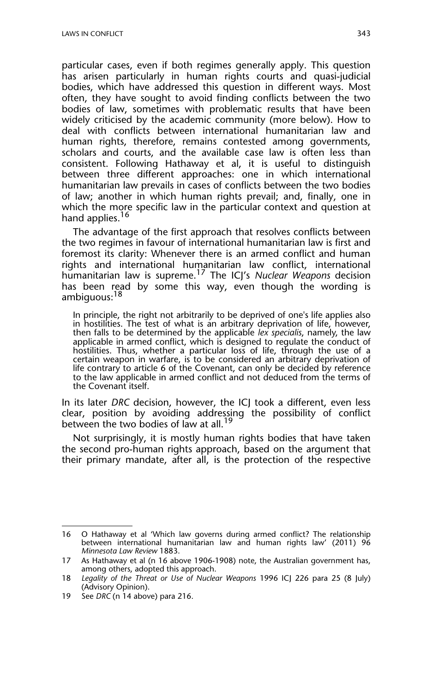particular cases, even if both regimes generally apply. This question has arisen particularly in human rights courts and quasi-judicial bodies, which have addressed this question in different ways. Most often, they have sought to avoid finding conflicts between the two bodies of law, sometimes with problematic results that have been widely criticised by the academic community (more below). How to deal with conflicts between international humanitarian law and human rights, therefore, remains contested among governments, scholars and courts, and the available case law is often less than consistent. Following Hathaway et al, it is useful to distinguish between three different approaches: one in which international humanitarian law prevails in cases of conflicts between the two bodies of law; another in which human rights prevail; and, finally, one in which the more specific law in the particular context and question at hand applies.<sup>16</sup>

The advantage of the first approach that resolves conflicts between the two regimes in favour of international humanitarian law is first and foremost its clarity: Whenever there is an armed conflict and human rights and international humanitarian law conflict, international humanitarian law is supreme.17 The ICJ's *Nuclear Weapons* decision has been read by some this way, even though the wording is ambiguous:<sup>18</sup>

In principle, the right not arbitrarily to be deprived of one's life applies also in hostilities. The test of what is an arbitrary deprivation of life, however, then falls to be determined by the applicable *lex specialis*, namely, the law applicable in armed conflict, which is designed to regulate the conduct of hostilities. Thus, whether a particular loss of life, through the use of a certain weapon in warfare, is to be considered an arbitrary deprivation of life contrary to article 6 of the Covenant, can only be decided by reference to the law applicable in armed conflict and not deduced from the terms of the Covenant itself.

In its later *DRC* decision, however, the ICJ took a different, even less clear, position by avoiding addressing the possibility of conflict between the two bodies of law at all.<sup>19</sup>

Not surprisingly, it is mostly human rights bodies that have taken the second pro-human rights approach, based on the argument that their primary mandate, after all, is the protection of the respective

<sup>16</sup> O Hathaway et al 'Which law governs during armed conflict? The relationship between international humanitarian law and human rights law' (2011) 96 *Minnesota Law Review* 1883.

<sup>17</sup> As Hathaway et al (n 16 above 1906-1908) note, the Australian government has, among others, adopted this approach.

<sup>18</sup> *Legality of the Threat or Use of Nuclear Weapons* 1996 ICJ 226 para 25 (8 July) (Advisory Opinion).

<sup>19</sup> See *DRC* (n 14 above) para 216.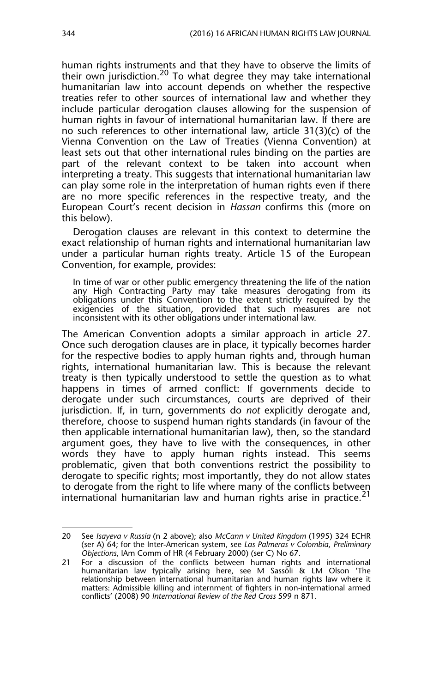human rights instruments and that they have to observe the limits of their own jurisdiction.<sup>20</sup> To what degree they may take international humanitarian law into account depends on whether the respective treaties refer to other sources of international law and whether they include particular derogation clauses allowing for the suspension of human rights in favour of international humanitarian law. If there are no such references to other international law, article 31(3)(c) of the Vienna Convention on the Law of Treaties (Vienna Convention) at least sets out that other international rules binding on the parties are part of the relevant context to be taken into account when interpreting a treaty. This suggests that international humanitarian law can play some role in the interpretation of human rights even if there are no more specific references in the respective treaty, and the European Court's recent decision in *Hassan* confirms this (more on this below).

Derogation clauses are relevant in this context to determine the exact relationship of human rights and international humanitarian law under a particular human rights treaty. Article 15 of the European Convention, for example, provides:

In time of war or other public emergency threatening the life of the nation any High Contracting Party may take measures derogating from its obligations under this Convention to the extent strictly required by the exigencies of the situation, provided that such measures are not inconsistent with its other obligations under international law.

The American Convention adopts a similar approach in article 27. Once such derogation clauses are in place, it typically becomes harder for the respective bodies to apply human rights and, through human rights, international humanitarian law. This is because the relevant treaty is then typically understood to settle the question as to what happens in times of armed conflict: If governments decide to derogate under such circumstances, courts are deprived of their jurisdiction. If, in turn, governments do *not* explicitly derogate and, therefore, choose to suspend human rights standards (in favour of the then applicable international humanitarian law), then, so the standard argument goes, they have to live with the consequences, in other words they have to apply human rights instead. This seems problematic, given that both conventions restrict the possibility to derogate to specific rights; most importantly, they do not allow states to derogate from the right to life where many of the conflicts between international humanitarian law and human rights arise in practice.<sup>21</sup>

<sup>20</sup> See *Isayeva v Russia* (n 2 above); also *McCann v United Kingdom* (1995) 324 ECHR (ser A) 64; for the Inter-American system, see *Las Palmeras v Colombia*, *Preliminary Objections*, IAm Comm of HR (4 February 2000) (ser C) No 67.

<sup>21</sup> For a discussion of the conflicts between human rights and international humanitarian law typically arising here, see M Sassòli & LM Olson 'The relationship between international humanitarian and human rights law where it matters: Admissible killing and internment of fighters in non-international armed conflicts' (2008) 90 *International Review of the Red Cross* 599 n 871.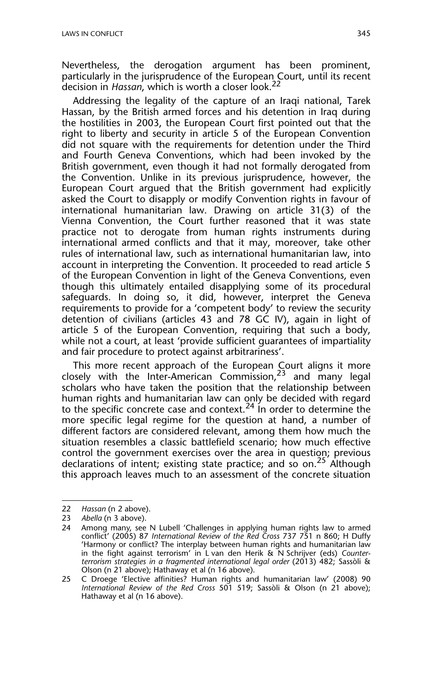Nevertheless, the derogation argument has been prominent, particularly in the jurisprudence of the European Court, until its recent decision in *Hassan*, which is worth a closer look.22

Addressing the legality of the capture of an Iraqi national, Tarek Hassan, by the British armed forces and his detention in Iraq during the hostilities in 2003, the European Court first pointed out that the right to liberty and security in article 5 of the European Convention did not square with the requirements for detention under the Third and Fourth Geneva Conventions, which had been invoked by the British government, even though it had not formally derogated from the Convention. Unlike in its previous jurisprudence, however, the European Court argued that the British government had explicitly asked the Court to disapply or modify Convention rights in favour of international humanitarian law. Drawing on article 31(3) of the Vienna Convention, the Court further reasoned that it was state practice not to derogate from human rights instruments during international armed conflicts and that it may, moreover, take other rules of international law, such as international humanitarian law, into account in interpreting the Convention. It proceeded to read article 5 of the European Convention in light of the Geneva Conventions, even though this ultimately entailed disapplying some of its procedural safeguards. In doing so, it did, however, interpret the Geneva requirements to provide for a 'competent body' to review the security detention of civilians (articles 43 and 78 GC IV), again in light of article 5 of the European Convention, requiring that such a body, while not a court, at least 'provide sufficient guarantees of impartiality and fair procedure to protect against arbitrariness'.

This more recent approach of the European Court aligns it more closely with the Inter-American Commission,  $2^3$  and many legal scholars who have taken the position that the relationship between human rights and humanitarian law can only be decided with regard to the specific concrete case and context.<sup>24</sup> In order to determine the more specific legal regime for the question at hand, a number of different factors are considered relevant, among them how much the situation resembles a classic battlefield scenario; how much effective control the government exercises over the area in question; previous declarations of intent; existing state practice; and so on.<sup>25</sup> Although this approach leaves much to an assessment of the concrete situation

<sup>22</sup> *Hassan* (n 2 above).

<sup>23</sup> *Abella* (n 3 above).

<sup>24</sup> Among many, see N Lubell 'Challenges in applying human rights law to armed conflict' (2005) 87 *International Review of the Red Cross* 737 751 n 860; H Duffy 'Harmony or conflict? The interplay between human rights and humanitarian law in the fight against terrorism' in L van den Herik & N Schrijver (eds) *Counterterrorism strategies in a fragmented international legal order* (2013) 482; Sassòli & Olson (n 21 above); Hathaway et al (n 16 above).

<sup>25</sup> C Droege 'Elective affinities? Human rights and humanitarian law' (2008) 90 *International Review of the Red Cross* 501 519; Sassòli & Olson (n 21 above); Hathaway et al (n 16 above).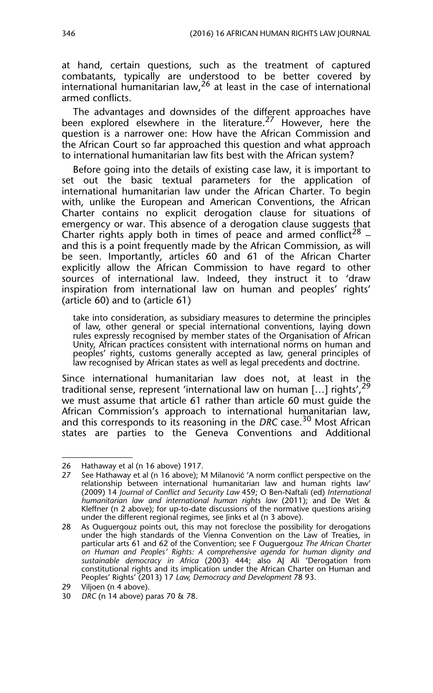at hand, certain questions, such as the treatment of captured combatants, typically are understood to be better covered by international humanitarian law,  $^{26}$  at least in the case of international armed conflicts.

The advantages and downsides of the different approaches have been explored elsewhere in the literature.<sup>27</sup> However, here the question is a narrower one: How have the African Commission and the African Court so far approached this question and what approach to international humanitarian law fits best with the African system?

Before going into the details of existing case law, it is important to set out the basic textual parameters for the application of international humanitarian law under the African Charter. To begin with, unlike the European and American Conventions, the African Charter contains no explicit derogation clause for situations of emergency or war. This absence of a derogation clause suggests that Charter rights apply both in times of peace and armed conflict<sup>28</sup> – and this is a point frequently made by the African Commission, as will be seen. Importantly, articles 60 and 61 of the African Charter explicitly allow the African Commission to have regard to other sources of international law. Indeed, they instruct it to 'draw inspiration from international law on human and peoples' rights' (article 60) and to (article 61)

take into consideration, as subsidiary measures to determine the principles of law, other general or special international conventions, laying down rules expressly recognised by member states of the Organisation of African Unity, African practices consistent with international norms on human and peoples' rights, customs generally accepted as law, general principles of law recognised by African states as well as legal precedents and doctrine.

Since international humanitarian law does not, at least in the traditional sense, represent 'international law on human [...] rights',  $2^{\overline{9}}$ we must assume that article 61 rather than article 60 must guide the African Commission's approach to international humanitarian law, and this corresponds to its reasoning in the *DRC* case.<sup>30</sup> Most African states are parties to the Geneva Conventions and Additional

<sup>26</sup> Hathaway et al (n 16 above) 1917.

<sup>27</sup> See Hathaway et al (n 16 above); M Milanović 'A norm conflict perspective on the relationship between international humanitarian law and human rights law' (2009) 14 *Journal of Conflict and Security Law* 459; O Ben-Naftali (ed) *International humanitarian law and international human rights law* (2011); and De Wet & Kleffner (n 2 above); for up-to-date discussions of the normative questions arising under the different regional regimes, see Jinks et al (n 3 above).

<sup>28</sup> As Ouguergouz points out, this may not foreclose the possibility for derogations under the high standards of the Vienna Convention on the Law of Treaties, in particular arts 61 and 62 of the Convention; see F Ouguergouz *The African Charter on Human and Peoples' Rights: A comprehensive agenda for human dignity and sustainable democracy in Africa* (2003) 444; also AJ Ali 'Derogation from constitutional rights and its implication under the African Charter on Human and Peoples' Rights' (2013) 17 *Law, Democracy and Development* 78 93.

<sup>29</sup> Viljoen (n 4 above).

<sup>30</sup> *DRC* (n 14 above) paras 70 & 78.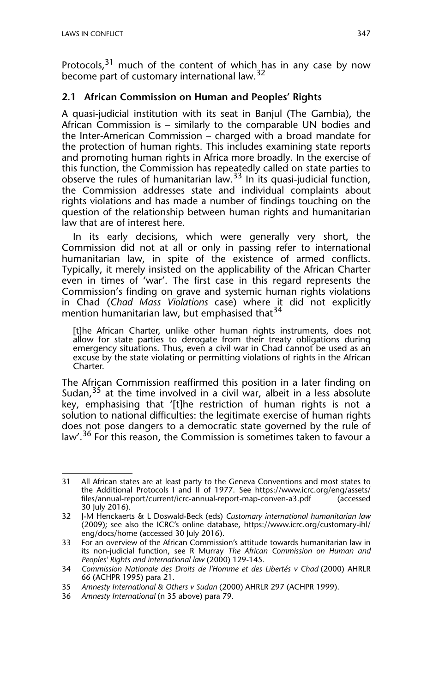Protocols,<sup>31</sup> much of the content of which has in any case by now become part of customary international law.<sup>32</sup>

#### **2.1 African Commission on Human and Peoples' Rights**

A quasi-judicial institution with its seat in Banjul (The Gambia), the African Commission is – similarly to the comparable UN bodies and the Inter-American Commission – charged with a broad mandate for the protection of human rights. This includes examining state reports and promoting human rights in Africa more broadly. In the exercise of this function, the Commission has repeatedly called on state parties to observe the rules of humanitarian law.33 In its quasi-judicial function, the Commission addresses state and individual complaints about rights violations and has made a number of findings touching on the question of the relationship between human rights and humanitarian law that are of interest here.

In its early decisions, which were generally very short, the Commission did not at all or only in passing refer to international humanitarian law, in spite of the existence of armed conflicts. Typically, it merely insisted on the applicability of the African Charter even in times of 'war'. The first case in this regard represents the Commission's finding on grave and systemic human rights violations in Chad (*Chad Mass Violations* case) where it did not explicitly mention humanitarian law, but emphasised that<sup>34</sup>

[t]he African Charter, unlike other human rights instruments, does not allow for state parties to derogate from their treaty obligations during emergency situations. Thus, even a civil war in Chad cannot be used as an excuse by the state violating or permitting violations of rights in the African Charter.

The African Commission reaffirmed this position in a later finding on Sudan,  $35$  at the time involved in a civil war, albeit in a less absolute key, emphasising that '[t]he restriction of human rights is not a solution to national difficulties: the legitimate exercise of human rights does not pose dangers to a democratic state governed by the rule of law'.<sup>36</sup> For this reason, the Commission is sometimes taken to favour a

<sup>31</sup> All African states are at least party to the Geneva Conventions and most states to the Additional Protocols I and II of 1977. See https://www.icrc.org/eng/assets/ files/annual-report/current/icrc-annual-report-map-conven-a3.pdf (accessed 30 July 2016).

<sup>32</sup> J-M Henckaerts & L Doswald-Beck (eds) *Customary international humanitarian law* (2009); see also the ICRC's online database, https://www.icrc.org/customary-ihl/ eng/docs/home (accessed 30 July 2016).

<sup>33</sup> For an overview of the African Commission's attitude towards humanitarian law in its non-judicial function, see R Murray *The African Commission on Human and Peoples' Rights and international law* (2000) 129-145.

<sup>34</sup> *Commission Nationale des Droits de l'Homme et des Libertés v Chad* (2000) AHRLR 66 (ACHPR 1995) para 21.

<sup>35</sup> *Amnesty International & Others v Sudan* (2000) AHRLR 297 (ACHPR 1999).

<sup>36</sup> *Amnesty International* (n 35 above) para 79.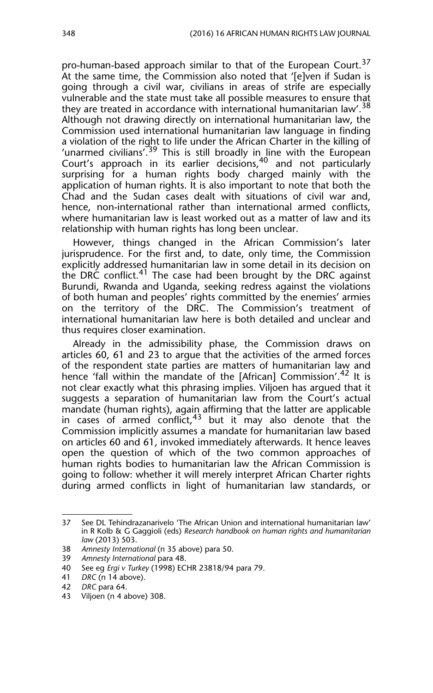pro-human-based approach similar to that of the European Court.<sup>37</sup> At the same time, the Commission also noted that '[e]ven if Sudan is going through a civil war, civilians in areas of strife are especially vulnerable and the state must take all possible measures to ensure that they are treated in accordance with international humanitarian law'.<sup>38</sup> Although not drawing directly on international humanitarian law, the Commission used international humanitarian law language in finding a violation of the right to life under the African Charter in the killing of 'unarmed civilians'.<sup>39</sup> This is still broadly in line with the European Court's approach in its earlier decisions,<sup>40</sup> and not particularly surprising for a human rights body charged mainly with the application of human rights. It is also important to note that both the Chad and the Sudan cases dealt with situations of civil war and, hence, non-international rather than international armed conflicts, where humanitarian law is least worked out as a matter of law and its relationship with human rights has long been unclear.

However, things changed in the African Commission's later jurisprudence. For the first and, to date, only time, the Commission explicitly addressed humanitarian law in some detail in its decision on the DRC conflict.<sup>41</sup> The case had been brought by the DRC against Burundi, Rwanda and Uganda, seeking redress against the violations of both human and peoples' rights committed by the enemies' armies on the territory of the DRC. The Commission's treatment of international humanitarian law here is both detailed and unclear and thus requires closer examination.

Already in the admissibility phase, the Commission draws on articles 60, 61 and 23 to argue that the activities of the armed forces of the respondent state parties are matters of humanitarian law and hence 'fall within the mandate of the [African] Commission'.<sup>42</sup> It is not clear exactly what this phrasing implies. Viljoen has argued that it suggests a separation of humanitarian law from the Court's actual mandate (human rights), again affirming that the latter are applicable in cases of armed conflict, $43$  but it may also denote that the Commission implicitly assumes a mandate for humanitarian law based on articles 60 and 61, invoked immediately afterwards. It hence leaves open the question of which of the two common approaches of human rights bodies to humanitarian law the African Commission is going to follow: whether it will merely interpret African Charter rights during armed conflicts in light of humanitarian law standards, or

<sup>37</sup> See DL Tehindrazanarivelo 'The African Union and international humanitarian law' in R Kolb & G Gaggioli (eds) *Research handbook on human rights and humanitarian law* (2013) 503.

<sup>38</sup> *Amnesty International* (n 35 above) para 50.

<sup>39</sup> *Amnesty International* para 48.

<sup>40</sup> See eg *Ergi v Turkey* (1998) ECHR 23818/94 para 79.

<sup>41</sup> *DRC* (n 14 above).

<sup>42</sup> *DRC* para 64.

<sup>43</sup> Viljoen (n 4 above) 308.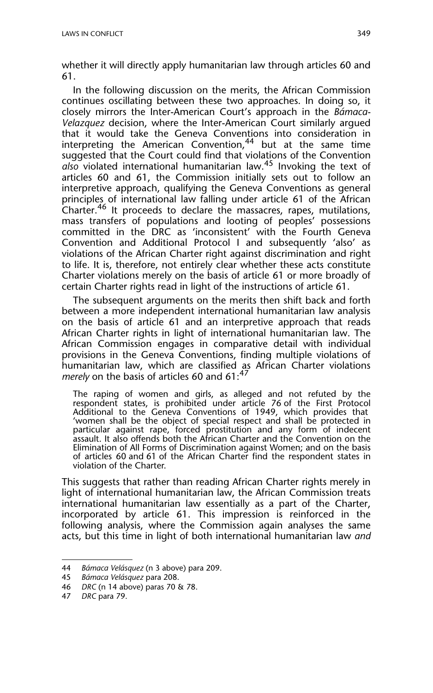whether it will directly apply humanitarian law through articles 60 and 61.

In the following discussion on the merits, the African Commission continues oscillating between these two approaches. In doing so, it closely mirrors the Inter-American Court's approach in the *Bámaca-Velazquez* decision, where the Inter-American Court similarly argued that it would take the Geneva Conventions into consideration in interpreting the American Convention,  $44$  but at the same time suggested that the Court could find that violations of the Convention *also* violated international humanitarian law.45 Invoking the text of articles 60 and 61, the Commission initially sets out to follow an interpretive approach, qualifying the Geneva Conventions as general principles of international law falling under article 61 of the African Charter.<sup>46</sup> It proceeds to declare the massacres, rapes, mutilations, mass transfers of populations and looting of peoples' possessions committed in the DRC as 'inconsistent' with the Fourth Geneva Convention and Additional Protocol I and subsequently 'also' as violations of the African Charter right against discrimination and right to life. It is, therefore, not entirely clear whether these acts constitute Charter violations merely on the basis of article 61 or more broadly of certain Charter rights read in light of the instructions of article 61.

The subsequent arguments on the merits then shift back and forth between a more independent international humanitarian law analysis on the basis of article 61 and an interpretive approach that reads African Charter rights in light of international humanitarian law. The African Commission engages in comparative detail with individual provisions in the Geneva Conventions, finding multiple violations of humanitarian law, which are classified as African Charter violations *merely* on the basis of articles 60 and  $61:^{47}$ 

The raping of women and girls, as alleged and not refuted by the respondent states, is prohibited under article 76 of the First Protocol Additional to the Geneva Conventions of 1949, which provides that 'women shall be the object of special respect and shall be protected in particular against rape, forced prostitution and any form of indecent assault. It also offends both the African Charter and the Convention on the Elimination of All Forms of Discrimination against Women; and on the basis of articles 60 and 61 of the African Charter find the respondent states in violation of the Charter.

This suggests that rather than reading African Charter rights merely in light of international humanitarian law, the African Commission treats international humanitarian law essentially as a part of the Charter, incorporated by article 61. This impression is reinforced in the following analysis, where the Commission again analyses the same acts, but this time in light of both international humanitarian law *and*

<sup>44</sup> *Bámaca Velásquez* (n 3 above) para 209.

<sup>45</sup> *Bámaca Velásquez* para 208.

<sup>46</sup> *DRC* (n 14 above) paras 70 & 78.

<sup>47</sup> *DRC* para 79.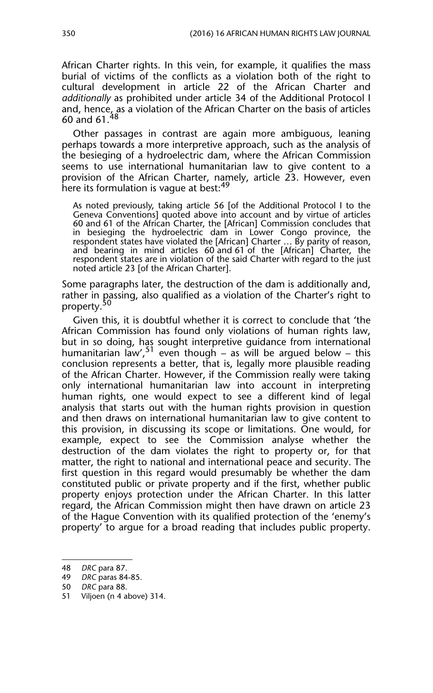African Charter rights. In this vein, for example, it qualifies the mass burial of victims of the conflicts as a violation both of the right to cultural development in article 22 of the African Charter and *additionally* as prohibited under article 34 of the Additional Protocol I and, hence, as a violation of the African Charter on the basis of articles 60 and 61.

Other passages in contrast are again more ambiguous, leaning perhaps towards a more interpretive approach, such as the analysis of the besieging of a hydroelectric dam, where the African Commission seems to use international humanitarian law to give content to a provision of the African Charter, namely, article 23. However, even here its formulation is vague at best:<sup>49</sup>

As noted previously, taking article 56 [of the Additional Protocol I to the Geneva Conventions] quoted above into account and by virtue of articles 60 and 61 of the African Charter, the [African] Commission concludes that in besieging the hydroelectric dam in Lower Congo province, the respondent states have violated the [African] Charter … By parity of reason, and bearing in mind articles 60 and 61 of the [African] Charter, the respondent states are in violation of the said Charter with regard to the just noted article 23 [of the African Charter].

Some paragraphs later, the destruction of the dam is additionally and, rather in passing, also qualified as a violation of the Charter's right to property.<sup>50</sup>

Given this, it is doubtful whether it is correct to conclude that 'the African Commission has found only violations of human rights law, but in so doing, has sought interpretive guidance from international humanitarian law'.<sup>51</sup> even though – as will be argued below – this conclusion represents a better, that is, legally more plausible reading of the African Charter. However, if the Commission really were taking only international humanitarian law into account in interpreting human rights, one would expect to see a different kind of legal analysis that starts out with the human rights provision in question and then draws on international humanitarian law to give content to this provision, in discussing its scope or limitations. One would, for example, expect to see the Commission analyse whether the destruction of the dam violates the right to property or, for that matter, the right to national and international peace and security. The first question in this regard would presumably be whether the dam constituted public or private property and if the first, whether public property enjoys protection under the African Charter. In this latter regard, the African Commission might then have drawn on article 23 of the Hague Convention with its qualified protection of the 'enemy's property' to argue for a broad reading that includes public property.

<sup>48</sup> *DRC* para 87.

<sup>49</sup> *DRC* paras 84-85.

<sup>50</sup> *DRC* para 88.

<sup>51</sup> Viljoen (n 4 above) 314.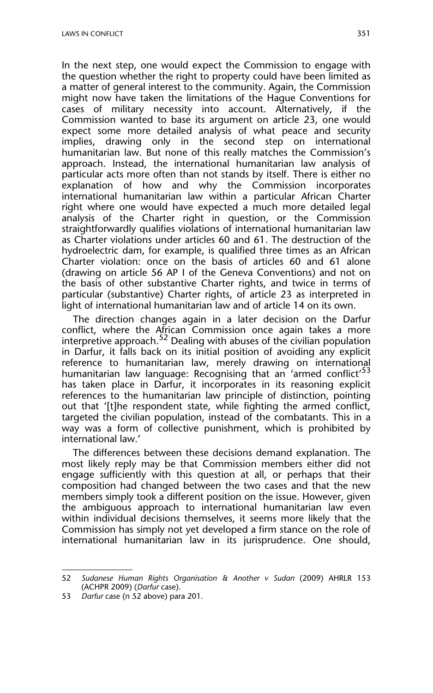In the next step, one would expect the Commission to engage with the question whether the right to property could have been limited as a matter of general interest to the community. Again, the Commission might now have taken the limitations of the Hague Conventions for cases of military necessity into account. Alternatively, if the Commission wanted to base its argument on article 23, one would expect some more detailed analysis of what peace and security implies, drawing only in the second step on international humanitarian law. But none of this really matches the Commission's approach. Instead, the international humanitarian law analysis of particular acts more often than not stands by itself. There is either no explanation of how and why the Commission incorporates international humanitarian law within a particular African Charter right where one would have expected a much more detailed legal analysis of the Charter right in question, or the Commission straightforwardly qualifies violations of international humanitarian law as Charter violations under articles 60 and 61. The destruction of the hydroelectric dam, for example, is qualified three times as an African Charter violation: once on the basis of articles 60 and 61 alone (drawing on article 56 AP I of the Geneva Conventions) and not on the basis of other substantive Charter rights, and twice in terms of particular (substantive) Charter rights, of article 23 as interpreted in light of international humanitarian law and of article 14 on its own.

The direction changes again in a later decision on the Darfur conflict, where the African Commission once again takes a more interpretive approach.<sup>52</sup> Dealing with abuses of the civilian population in Darfur, it falls back on its initial position of avoiding any explicit reference to humanitarian law, merely drawing on international humanitarian law language: Recognising that an 'armed conflict'<sup>53</sup> has taken place in Darfur, it incorporates in its reasoning explicit references to the humanitarian law principle of distinction, pointing out that '[t]he respondent state, while fighting the armed conflict, targeted the civilian population, instead of the combatants. This in a way was a form of collective punishment, which is prohibited by international law.'

The differences between these decisions demand explanation. The most likely reply may be that Commission members either did not engage sufficiently with this question at all, or perhaps that their composition had changed between the two cases and that the new members simply took a different position on the issue. However, given the ambiguous approach to international humanitarian law even within individual decisions themselves, it seems more likely that the Commission has simply not yet developed a firm stance on the role of international humanitarian law in its jurisprudence. One should,

<sup>52</sup> *Sudanese Human Rights Organisation & Another v Sudan* (2009) AHRLR 153 (ACHPR 2009) (*Darfur* case).

<sup>53</sup> *Darfur* case (n 52 above) para 201.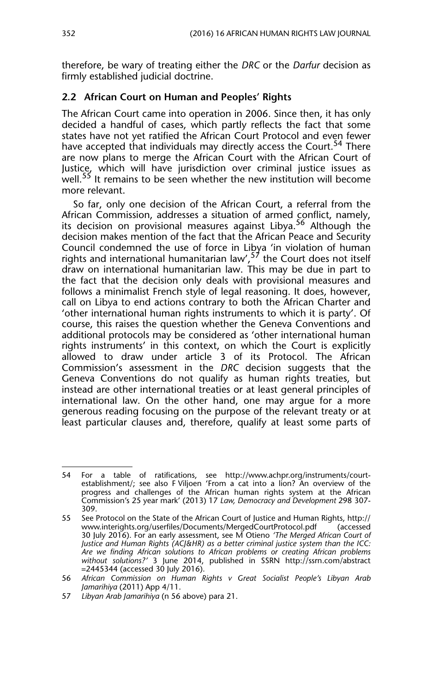therefore, be wary of treating either the *DRC* or the *Darfur* decision as firmly established judicial doctrine.

#### **2.2 African Court on Human and Peoples' Rights**

The African Court came into operation in 2006. Since then, it has only decided a handful of cases, which partly reflects the fact that some states have not yet ratified the African Court Protocol and even fewer have accepted that individuals may directly access the Court.<sup>54</sup> There are now plans to merge the African Court with the African Court of Justice, which will have jurisdiction over criminal justice issues as well.<sup>55</sup> It remains to be seen whether the new institution will become more relevant.

So far, only one decision of the African Court, a referral from the African Commission, addresses a situation of armed conflict, namely, its decision on provisional measures against Libya.<sup>56</sup> Although the decision makes mention of the fact that the African Peace and Security Council condemned the use of force in Libya 'in violation of human rights and international humanitarian law',  $5^{\frac{1}{2}}$  the Court does not itself draw on international humanitarian law. This may be due in part to the fact that the decision only deals with provisional measures and follows a minimalist French style of legal reasoning. It does, however, call on Libya to end actions contrary to both the African Charter and 'other international human rights instruments to which it is party'. Of course, this raises the question whether the Geneva Conventions and additional protocols may be considered as 'other international human rights instruments' in this context, on which the Court is explicitly allowed to draw under article 3 of its Protocol. The African Commission's assessment in the *DRC* decision suggests that the Geneva Conventions do not qualify as human rights treaties, but instead are other international treaties or at least general principles of international law. On the other hand, one may argue for a more generous reading focusing on the purpose of the relevant treaty or at least particular clauses and, therefore, qualify at least some parts of

<sup>54</sup> For a table of ratifications, see http://www.achpr.org/instruments/courtestablishment/; see also F Viljoen 'From a cat into a lion? An overview of the progress and challenges of the African human rights system at the African Commission's 25 year mark' (2013) 17 *Law, Democracy and Development* 298 307- 309.

<sup>55</sup> See Protocol on the State of the African Court of Justice and Human Rights, http:// www.interights.org/userfiles/Documents/MergedCourtProtocol.pdf 30 July 2016). For an early assessment, see M Otieno *'The Merged African Court of Justice and Human Rights (ACJ&HR) as a better criminal justice system than the ICC: Are we finding African solutions to African problems or creating African problems without solutions?'* 3 June 2014, published in SSRN http://ssrn.com/abstract =2445344 (accessed 30 July 2016).

<sup>56</sup> *African Commission on Human Rights v Great Socialist People's Libyan Arab Jamarihiya* (2011) App 4/11.

<sup>57</sup> *Libyan Arab Jamarihiya* (n 56 above) para 21.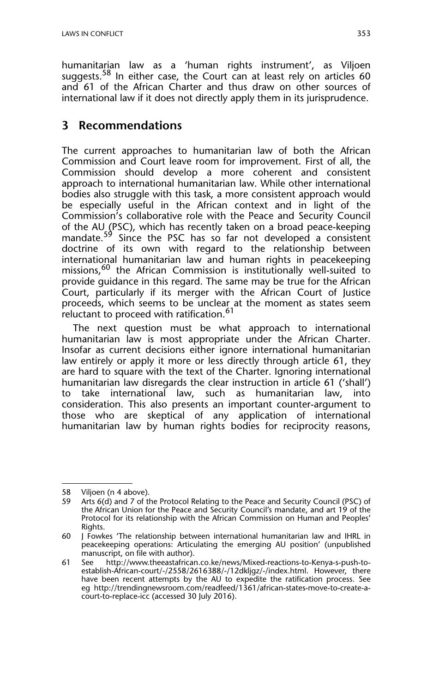humanitarian law as a 'human rights instrument', as Viljoen suggests.<sup>58</sup> In either case, the Court can at least rely on articles 60 and 61 of the African Charter and thus draw on other sources of international law if it does not directly apply them in its jurisprudence.

## **3 Recommendations**

The current approaches to humanitarian law of both the African Commission and Court leave room for improvement. First of all, the Commission should develop a more coherent and consistent approach to international humanitarian law. While other international bodies also struggle with this task, a more consistent approach would be especially useful in the African context and in light of the Commission's collaborative role with the Peace and Security Council of the AU (PSC), which has recently taken on a broad peace-keeping mandate.<sup>59</sup> Since the PSC has so far not developed a consistent doctrine of its own with regard to the relationship between international humanitarian law and human rights in peacekeeping missions,<sup>60</sup> the African Commission is institutionally well-suited to provide guidance in this regard. The same may be true for the African Court, particularly if its merger with the African Court of Justice proceeds, which seems to be unclear at the moment as states seem reluctant to proceed with ratification.<sup>61</sup>

The next question must be what approach to international humanitarian law is most appropriate under the African Charter. Insofar as current decisions either ignore international humanitarian law entirely or apply it more or less directly through article 61, they are hard to square with the text of the Charter. Ignoring international humanitarian law disregards the clear instruction in article 61 ('shall') to take international law, such as humanitarian law, into consideration. This also presents an important counter-argument to those who are skeptical of any application of international humanitarian law by human rights bodies for reciprocity reasons,

<sup>58</sup> Viljoen (n 4 above).

<sup>59</sup> Arts 6(d) and 7 of the Protocol Relating to the Peace and Security Council (PSC) of the African Union for the Peace and Security Council's mandate, and art 19 of the Protocol for its relationship with the African Commission on Human and Peoples' Rights.

<sup>60</sup> J Fowkes 'The relationship between international humanitarian law and IHRL in peacekeeping operations: Articulating the emerging AU position' (unpublished manuscript, on file with author).

<sup>61</sup> See http://www.theeastafrican.co.ke/news/Mixed-reactions-to-Kenya-s-push-toestablish-African-court/-/2558/2616388/-/12dkljgz/-/index.html. However, there have been recent attempts by the AU to expedite the ratification process. See eg http://trendingnewsroom.com/readfeed/1361/african-states-move-to-create-acourt-to-replace-icc (accessed 30 July 2016).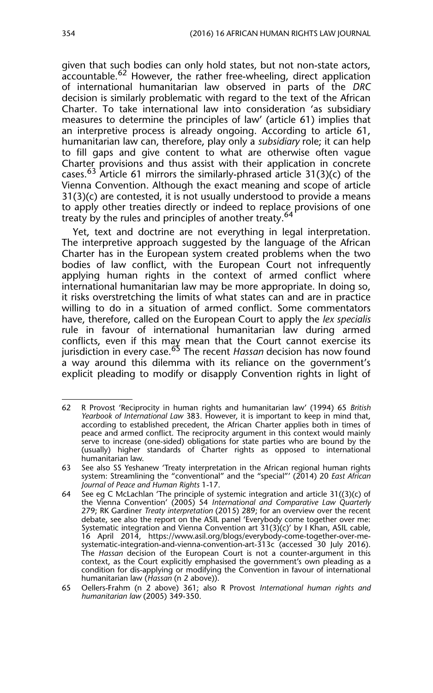given that such bodies can only hold states, but not non-state actors, accountable.<sup>62</sup> However, the rather free-wheeling, direct application of international humanitarian law observed in parts of the *DRC* decision is similarly problematic with regard to the text of the African Charter. To take international law into consideration 'as subsidiary measures to determine the principles of law' (article 61) implies that an interpretive process is already ongoing. According to article 61, humanitarian law can, therefore, play only a *subsidiary* role; it can help to fill gaps and give content to what are otherwise often vague Charter provisions and thus assist with their application in concrete cases.<sup>63</sup> Article 61 mirrors the similarly-phrased article 31(3)(c) of the Vienna Convention. Although the exact meaning and scope of article 31(3)(c) are contested, it is not usually understood to provide a means to apply other treaties directly or indeed to replace provisions of one treaty by the rules and principles of another treaty.<sup>64</sup>

Yet, text and doctrine are not everything in legal interpretation. The interpretive approach suggested by the language of the African Charter has in the European system created problems when the two bodies of law conflict, with the European Court not infrequently applying human rights in the context of armed conflict where international humanitarian law may be more appropriate. In doing so, it risks overstretching the limits of what states can and are in practice willing to do in a situation of armed conflict. Some commentators have, therefore, called on the European Court to apply the *lex specialis* rule in favour of international humanitarian law during armed conflicts, even if this may mean that the Court cannot exercise its jurisdiction in every case.65 The recent *Hassan* decision has now found a way around this dilemma with its reliance on the government's explicit pleading to modify or disapply Convention rights in light of

<sup>62</sup> R Provost 'Reciprocity in human rights and humanitarian law' (1994) 65 *British Yearbook of International Law* 383. However, it is important to keep in mind that, according to established precedent, the African Charter applies both in times of peace and armed conflict. The reciprocity argument in this context would mainly serve to increase (one-sided) obligations for state parties who are bound by the (usually) higher standards of Charter rights as opposed to international humanitarian law.

<sup>63</sup> See also SS Yeshanew 'Treaty interpretation in the African regional human rights system: Streamlining the "conventional" and the "special"' (2014) 20 *East African Journal of Peace and Human Rights* 1-17.

<sup>64</sup> See eg C McLachlan 'The principle of systemic integration and article  $31((3)(c)$  of the Vienna Convention' (2005) 54 *International and Comparative Law Quarterly* 279; RK Gardiner *Treaty interpretation* (2015) 289; for an overview over the recent debate, see also the report on the ASIL panel 'Everybody come together over me: Systematic integration and Vienna Convention art 31(3)(c)' by I Khan, ASIL cable, 16 April 2014, https://www.asil.org/blogs/everybody-come-together-over-mesystematic-integration-and-vienna-convention-art-313c (accessed 30 July 2016). The *Hassan* decision of the European Court is not a counter-argument in this context, as the Court explicitly emphasised the government's own pleading as a condition for dis-applying or modifying the Convention in favour of international humanitarian law (*Hassan* (n 2 above)).

<sup>65</sup> Oellers-Frahm (n 2 above) 361; also R Provost *International human rights and humanitarian law* (2005) 349-350.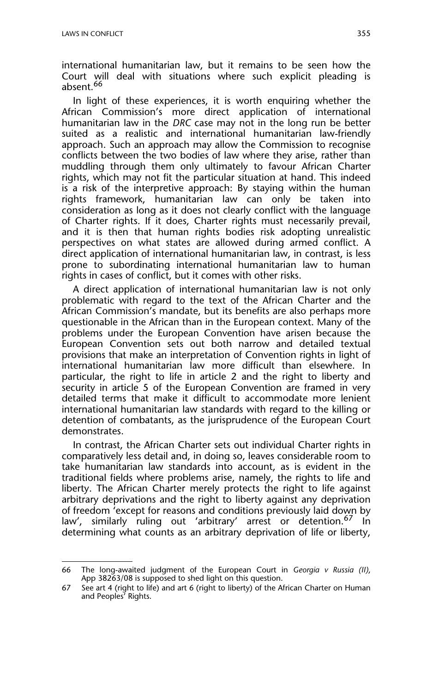international humanitarian law, but it remains to be seen how the Court will deal with situations where such explicit pleading is absent.<sup>66</sup>

In light of these experiences, it is worth enquiring whether the African Commission's more direct application of international humanitarian law in the *DRC* case may not in the long run be better suited as a realistic and international humanitarian law-friendly approach. Such an approach may allow the Commission to recognise conflicts between the two bodies of law where they arise, rather than muddling through them only ultimately to favour African Charter rights, which may not fit the particular situation at hand. This indeed is a risk of the interpretive approach: By staying within the human rights framework, humanitarian law can only be taken into consideration as long as it does not clearly conflict with the language of Charter rights. If it does, Charter rights must necessarily prevail, and it is then that human rights bodies risk adopting unrealistic perspectives on what states are allowed during armed conflict. A direct application of international humanitarian law, in contrast, is less prone to subordinating international humanitarian law to human rights in cases of conflict, but it comes with other risks.

A direct application of international humanitarian law is not only problematic with regard to the text of the African Charter and the African Commission's mandate, but its benefits are also perhaps more questionable in the African than in the European context. Many of the problems under the European Convention have arisen because the European Convention sets out both narrow and detailed textual provisions that make an interpretation of Convention rights in light of international humanitarian law more difficult than elsewhere. In particular, the right to life in article 2 and the right to liberty and security in article 5 of the European Convention are framed in very detailed terms that make it difficult to accommodate more lenient international humanitarian law standards with regard to the killing or detention of combatants, as the jurisprudence of the European Court demonstrates.

In contrast, the African Charter sets out individual Charter rights in comparatively less detail and, in doing so, leaves considerable room to take humanitarian law standards into account, as is evident in the traditional fields where problems arise, namely, the rights to life and liberty. The African Charter merely protects the right to life against arbitrary deprivations and the right to liberty against any deprivation of freedom 'except for reasons and conditions previously laid down by law', similarly ruling out 'arbitrary' arrest or detention.<sup>67</sup> In determining what counts as an arbitrary deprivation of life or liberty,

<sup>66</sup> The long-awaited judgment of the European Court in *Georgia v Russia (II)*, App 38263/08 is supposed to shed light on this question.

<sup>67</sup> See art 4 (right to life) and art 6 (right to liberty) of the African Charter on Human and Peoples' Rights.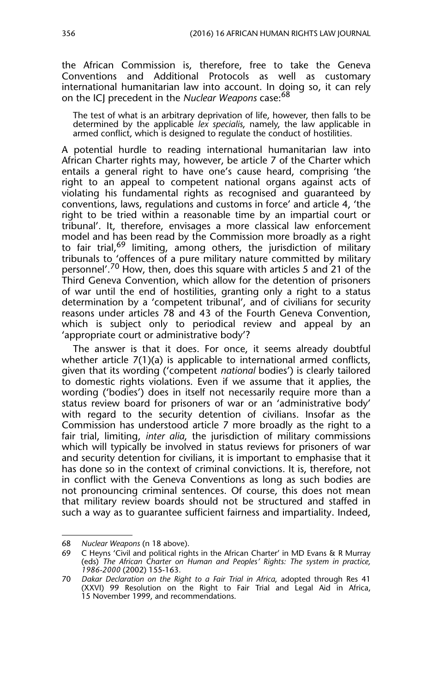the African Commission is, therefore, free to take the Geneva Conventions and Additional Protocols as well as customary international humanitarian law into account. In doing so, it can rely on the ICJ precedent in the *Nuclear Weapons* case:<sup>68</sup>

The test of what is an arbitrary deprivation of life, however, then falls to be determined by the applicable *lex specialis*, namely, the law applicable in armed conflict, which is designed to regulate the conduct of hostilities.

A potential hurdle to reading international humanitarian law into African Charter rights may, however, be article 7 of the Charter which entails a general right to have one's cause heard, comprising 'the right to an appeal to competent national organs against acts of violating his fundamental rights as recognised and guaranteed by conventions, laws, regulations and customs in force' and article 4, 'the right to be tried within a reasonable time by an impartial court or tribunal'. It, therefore, envisages a more classical law enforcement model and has been read by the Commission more broadly as a right to fair trial,<sup>69</sup> limiting, among others, the jurisdiction of military tribunals to 'offences of a pure military nature committed by military personnel'.<sup>70</sup> How, then, does this square with articles 5 and 21 of the Third Geneva Convention, which allow for the detention of prisoners of war until the end of hostilities, granting only a right to a status determination by a 'competent tribunal', and of civilians for security reasons under articles 78 and 43 of the Fourth Geneva Convention, which is subject only to periodical review and appeal by an 'appropriate court or administrative body'?

The answer is that it does. For once, it seems already doubtful whether article 7(1)(a) is applicable to international armed conflicts, given that its wording ('competent *national* bodies') is clearly tailored to domestic rights violations. Even if we assume that it applies, the wording ('bodies') does in itself not necessarily require more than a status review board for prisoners of war or an 'administrative body' with regard to the security detention of civilians. Insofar as the Commission has understood article 7 more broadly as the right to a fair trial, limiting, *inter alia*, the jurisdiction of military commissions which will typically be involved in status reviews for prisoners of war and security detention for civilians, it is important to emphasise that it has done so in the context of criminal convictions. It is, therefore, not in conflict with the Geneva Conventions as long as such bodies are not pronouncing criminal sentences. Of course, this does not mean that military review boards should not be structured and staffed in such a way as to guarantee sufficient fairness and impartiality. Indeed,

<sup>68</sup> *Nuclear Weapons* (n 18 above).

<sup>69</sup> C Heyns 'Civil and political rights in the African Charter' in MD Evans & R Murray (eds) *The African Charter on Human and Peoples' Rights: The system in practice, 1986-2000* (2002) 155-163.

<sup>70</sup> *Dakar Declaration on the Right to a Fair Trial in Africa*, adopted through Res 41 (XXVI) 99 Resolution on the Right to Fair Trial and Legal Aid in Africa, 15 November 1999, and recommendations.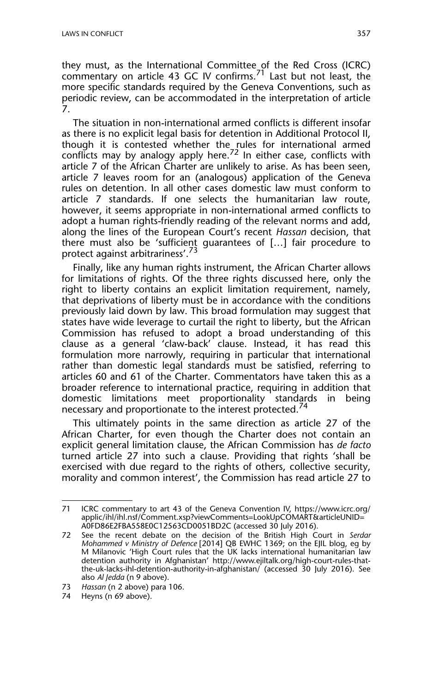they must, as the International Committee of the Red Cross (ICRC) commentary on article 43 GC IV confirms.<sup>71</sup> Last but not least, the more specific standards required by the Geneva Conventions, such as periodic review, can be accommodated in the interpretation of article 7.

The situation in non-international armed conflicts is different insofar as there is no explicit legal basis for detention in Additional Protocol II, though it is contested whether the\_rules for international armed conflicts may by analogy apply here.<sup>72</sup> In either case, conflicts with article 7 of the African Charter are unlikely to arise. As has been seen, article 7 leaves room for an (analogous) application of the Geneva rules on detention. In all other cases domestic law must conform to article 7 standards. If one selects the humanitarian law route, however, it seems appropriate in non-international armed conflicts to adopt a human rights-friendly reading of the relevant norms and add, along the lines of the European Court's recent *Hassan* decision, that there must also be 'sufficient guarantees of […] fair procedure to protect against arbitrariness'.<sup>73</sup>

Finally, like any human rights instrument, the African Charter allows for limitations of rights. Of the three rights discussed here, only the right to liberty contains an explicit limitation requirement, namely, that deprivations of liberty must be in accordance with the conditions previously laid down by law. This broad formulation may suggest that states have wide leverage to curtail the right to liberty, but the African Commission has refused to adopt a broad understanding of this clause as a general 'claw-back' clause. Instead, it has read this formulation more narrowly, requiring in particular that international rather than domestic legal standards must be satisfied, referring to articles 60 and 61 of the Charter. Commentators have taken this as a broader reference to international practice, requiring in addition that domestic limitations meet proportionality standards in being necessary and proportionate to the interest protected.<sup>74</sup>

This ultimately points in the same direction as article 27 of the African Charter, for even though the Charter does not contain an explicit general limitation clause, the African Commission has *de facto* turned article 27 into such a clause. Providing that rights 'shall be exercised with due regard to the rights of others, collective security, morality and common interest', the Commission has read article 27 to

<sup>71</sup> ICRC commentary to art 43 of the Geneva Convention IV, https://www.icrc.org/ applic/ihl/ihl.nsf/Comment.xsp?viewComments=LookUpCOMART&articleUNID= A0FD86E2FBA558E0C12563CD0051BD2C (accessed 30 July 2016).

<sup>72</sup> See the recent debate on the decision of the British High Court in *Serdar Mohammed v Ministry of Defence* [2014] QB EWHC 1369; on the EJIL blog, eg by M Milanovic 'High Court rules that the UK lacks international humanitarian law detention authority in Afghanistan' http://www.ejiltalk.org/high-court-rules-thatthe-uk-lacks-ihl-detention-authority-in-afghanistan/ (accessed 30 July 2016). See also *Al Jedda* (n 9 above).

<sup>73</sup> *Hassan* (n 2 above) para 106.

<sup>74</sup> Heyns (n 69 above).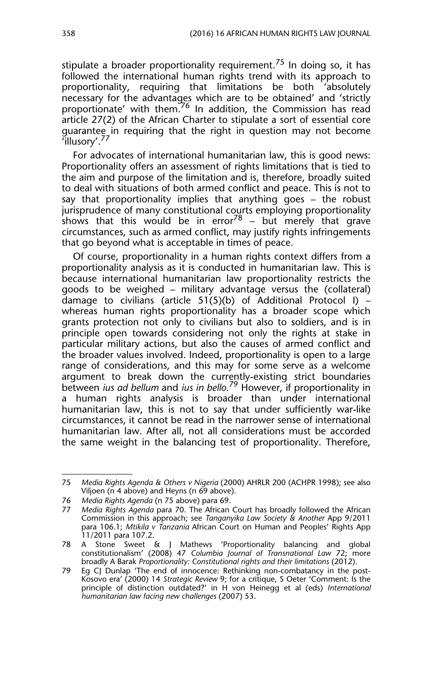stipulate a broader proportionality requirement.<sup>75</sup> In doing so, it has followed the international human rights trend with its approach to proportionality, requiring that limitations be both 'absolutely necessary for the advantages which are to be obtained' and 'strictly proportionate' with them.<sup>76</sup> In addition, the Commission has read article 27(2) of the African Charter to stipulate a sort of essential core guarantee in requiring that the right in question may not become 'illusory'.77

For advocates of international humanitarian law, this is good news: Proportionality offers an assessment of rights limitations that is tied to the aim and purpose of the limitation and is, therefore, broadly suited to deal with situations of both armed conflict and peace. This is not to say that proportionality implies that anything goes – the robust jurisprudence of many constitutional courts employing proportionality shows that this would be in error<sup>78</sup> – but merely that grave circumstances, such as armed conflict, may justify rights infringements that go beyond what is acceptable in times of peace.

Of course, proportionality in a human rights context differs from a proportionality analysis as it is conducted in humanitarian law. This is because international humanitarian law proportionality restricts the goods to be weighed – military advantage versus the (collateral) damage to civilians (article  $51(5)(b)$  of Additional Protocol I) – whereas human rights proportionality has a broader scope which grants protection not only to civilians but also to soldiers, and is in principle open towards considering not only the rights at stake in particular military actions, but also the causes of armed conflict and the broader values involved. Indeed, proportionality is open to a large range of considerations, and this may for some serve as a welcome argument to break down the currently-existing strict boundaries between *ius ad bellum* and *ius in bello*. 79 However, if proportionality in a human rights analysis is broader than under international humanitarian law, this is not to say that under sufficiently war-like circumstances, it cannot be read in the narrower sense of international humanitarian law. After all, not all considerations must be accorded the same weight in the balancing test of proportionality. Therefore,

<sup>75</sup> *Media Rights Agenda & Others v Nigeria* (2000) AHRLR 200 (ACHPR 1998); see also Viljoen (n 4 above) and Heyns (n 69 above).

<sup>76</sup> *Media Rights Agenda* (n 75 above) para 69.

<sup>77</sup> *Media Rights Agenda* para 70. The African Court has broadly followed the African Commission in this approach; see *Tanganyika Law Society & Another* App 9/2011 para 106.1; *Mtikila v Tanzania* African Court on Human and Peoples' Rights App 11/2011 para 107.2.

<sup>78</sup> A Stone Sweet & J Mathews 'Proportionality balancing and global constitutionalism' (2008) 47 *Columbia Journal of Transnational Law* 72; more broadly A Barak *Proportionality: Constitutional rights and their limitations* (2012).

<sup>79</sup> Eg CJ Dunlap 'The end of innocence: Rethinking non-combatancy in the post-Kosovo era' (2000) 14 *Strategic Review* 9; for a critique, S Oeter 'Comment: Is the principle of distinction outdated?' in H von Heinegg et al (eds) *International humanitarian law facing new challenges* (2007) 53.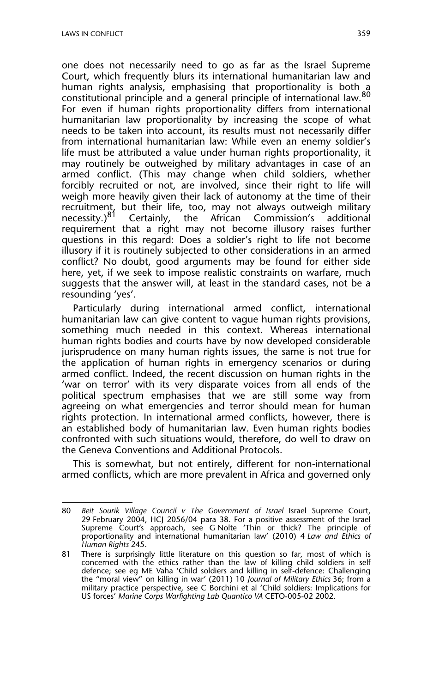one does not necessarily need to go as far as the Israel Supreme Court, which frequently blurs its international humanitarian law and human rights analysis, emphasising that proportionality is both a constitutional principle and a general principle of international law.<sup>80</sup> For even if human rights proportionality differs from international humanitarian law proportionality by increasing the scope of what needs to be taken into account, its results must not necessarily differ from international humanitarian law: While even an enemy soldier's life must be attributed a value under human rights proportionality, it may routinely be outweighed by military advantages in case of an armed conflict. (This may change when child soldiers, whether forcibly recruited or not, are involved, since their right to life will weigh more heavily given their lack of autonomy at the time of their recruitment, but their life, too, may not always outweigh military necessity.)<sup>81</sup> Certainly, the African Commission's additional requirement that a right may not become illusory raises further questions in this regard: Does a soldier's right to life not become illusory if it is routinely subjected to other considerations in an armed conflict? No doubt, good arguments may be found for either side here, yet, if we seek to impose realistic constraints on warfare, much suggests that the answer will, at least in the standard cases, not be a resounding 'yes'.

Particularly during international armed conflict, international humanitarian law can give content to vague human rights provisions, something much needed in this context. Whereas international human rights bodies and courts have by now developed considerable jurisprudence on many human rights issues, the same is not true for the application of human rights in emergency scenarios or during armed conflict. Indeed, the recent discussion on human rights in the 'war on terror' with its very disparate voices from all ends of the political spectrum emphasises that we are still some way from agreeing on what emergencies and terror should mean for human rights protection. In international armed conflicts, however, there is an established body of humanitarian law. Even human rights bodies confronted with such situations would, therefore, do well to draw on the Geneva Conventions and Additional Protocols.

This is somewhat, but not entirely, different for non-international armed conflicts, which are more prevalent in Africa and governed only

<sup>80</sup> *Beit Sourik Village Council v The Government of Israel* Israel Supreme Court, 29 February 2004, HCJ 2056/04 para 38. For a positive assessment of the Israel Supreme Court's approach, see G Nolte 'Thin or thick? The principle of proportionality and international humanitarian law' (2010) 4 *Law and Ethics of Human Rights* 245.

<sup>81</sup> There is surprisingly little literature on this question so far, most of which is concerned with the ethics rather than the law of killing child soldiers in self defence; see eg ME Vaha 'Child soldiers and killing in self-defence: Challenging the "moral view" on killing in war' (2011) 10 *Journal of Military Ethics* 36; from a military practice perspective, see C Borchini et al 'Child soldiers: Implications for US forces' *Marine Corps Warfighting Lab Quantico VA* CETO-005-02 2002.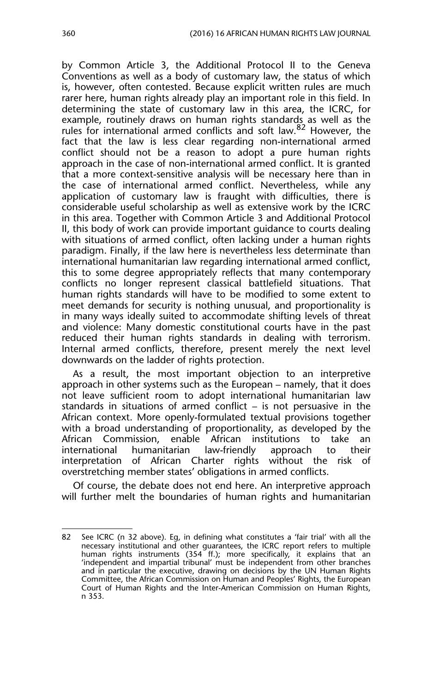by Common Article 3, the Additional Protocol II to the Geneva Conventions as well as a body of customary law, the status of which is, however, often contested. Because explicit written rules are much rarer here, human rights already play an important role in this field. In determining the state of customary law in this area, the ICRC, for example, routinely draws on human rights standards as well as the rules for international armed conflicts and soft law.<sup>82</sup> However, the fact that the law is less clear regarding non-international armed conflict should not be a reason to adopt a pure human rights approach in the case of non-international armed conflict. It is granted that a more context-sensitive analysis will be necessary here than in the case of international armed conflict. Nevertheless, while any application of customary law is fraught with difficulties, there is considerable useful scholarship as well as extensive work by the ICRC in this area. Together with Common Article 3 and Additional Protocol II, this body of work can provide important guidance to courts dealing with situations of armed conflict, often lacking under a human rights paradigm. Finally, if the law here is nevertheless less determinate than international humanitarian law regarding international armed conflict, this to some degree appropriately reflects that many contemporary conflicts no longer represent classical battlefield situations. That human rights standards will have to be modified to some extent to meet demands for security is nothing unusual, and proportionality is in many ways ideally suited to accommodate shifting levels of threat and violence: Many domestic constitutional courts have in the past reduced their human rights standards in dealing with terrorism. Internal armed conflicts, therefore, present merely the next level downwards on the ladder of rights protection.

As a result, the most important objection to an interpretive approach in other systems such as the European – namely, that it does not leave sufficient room to adopt international humanitarian law standards in situations of armed conflict – is not persuasive in the African context. More openly-formulated textual provisions together with a broad understanding of proportionality, as developed by the African Commission, enable African institutions to take an international humanitarian law-friendly approach to their interpretation of African Charter rights without the risk of overstretching member states' obligations in armed conflicts.

Of course, the debate does not end here. An interpretive approach will further melt the boundaries of human rights and humanitarian

<sup>82</sup> See ICRC (n 32 above). Eg, in defining what constitutes a 'fair trial' with all the necessary institutional and other guarantees, the ICRC report refers to multiple human rights instruments (354 ff.); more specifically, it explains that an 'independent and impartial tribunal' must be independent from other branches and in particular the executive, drawing on decisions by the UN Human Rights Committee, the African Commission on Human and Peoples' Rights, the European Court of Human Rights and the Inter-American Commission on Human Rights, n 353.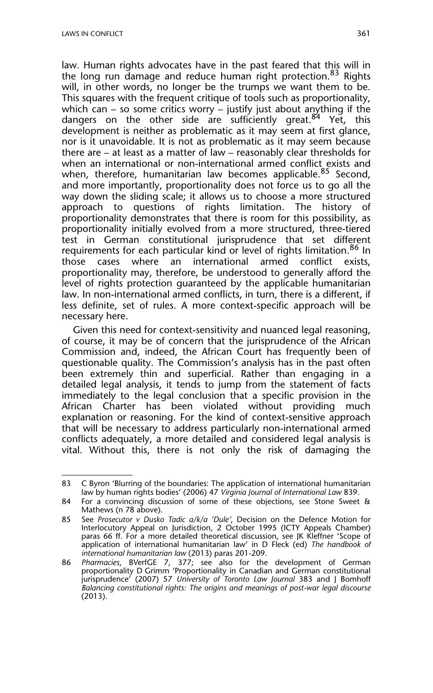law. Human rights advocates have in the past feared that this will in the long run damage and reduce human right protection.<sup>83</sup> Rights will, in other words, no longer be the trumps we want them to be. This squares with the frequent critique of tools such as proportionality, which can – so some critics worry – justify just about anything if the dangers on the other side are sufficiently great.<sup>84</sup> Yet, this development is neither as problematic as it may seem at first glance, nor is it unavoidable. It is not as problematic as it may seem because there are – at least as a matter of law – reasonably clear thresholds for when an international or non-international armed conflict exists and when, therefore, humanitarian law becomes applicable.<sup>85</sup> Second, and more importantly, proportionality does not force us to go all the way down the sliding scale; it allows us to choose a more structured approach to questions of rights limitation. The history of proportionality demonstrates that there is room for this possibility, as proportionality initially evolved from a more structured, three-tiered test in German constitutional jurisprudence that set different requirements for each particular kind or level of rights limitation.<sup>86</sup> In<br>those cases where an international armed conflict exists, those cases where an international armed conflict exists, proportionality may, therefore, be understood to generally afford the level of rights protection guaranteed by the applicable humanitarian law. In non-international armed conflicts, in turn, there is a different, if less definite, set of rules. A more context-specific approach will be necessary here.

Given this need for context-sensitivity and nuanced legal reasoning, of course, it may be of concern that the jurisprudence of the African Commission and, indeed, the African Court has frequently been of questionable quality. The Commission's analysis has in the past often been extremely thin and superficial. Rather than engaging in a detailed legal analysis, it tends to jump from the statement of facts immediately to the legal conclusion that a specific provision in the African Charter has been violated without providing much explanation or reasoning. For the kind of context-sensitive approach that will be necessary to address particularly non-international armed conflicts adequately, a more detailed and considered legal analysis is vital. Without this, there is not only the risk of damaging the

<sup>83</sup> C Byron 'Blurring of the boundaries: The application of international humanitarian law by human rights bodies' (2006) 47 *Virginia Journal of International Law* 839.

<sup>84</sup> For a convincing discussion of some of these objections, see Stone Sweet & Mathews (n 78 above).

<sup>85</sup> See *Prosecutor v Dusko Tadic a/k/a 'Dule'*, Decision on the Defence Motion for Interlocutory Appeal on Jurisdiction, 2 October 1995 (ICTY Appeals Chamber) paras 66 ff. For a more detailed theoretical discussion, see JK Kleffner 'Scope of application of international humanitarian law' in D Fleck (ed) *The handbook of international humanitarian law* (2013) paras 201-209.

<sup>86</sup> *Pharmacies*, BVerfGE 7, 377; see also for the development of German proportionality D Grimm 'Proportionality in Canadian and German constitutional jurisprudence' (2007) 57 *University of Toronto Law Journal* 383 and J Bomhoff *Balancing constitutional rights: The origins and meanings of post-war legal discourse* (2013).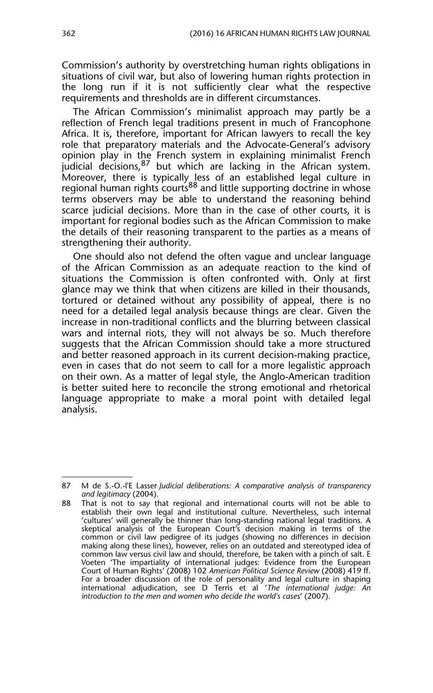Commission's authority by overstretching human rights obligations in situations of civil war, but also of lowering human rights protection in the long run if it is not sufficiently clear what the respective requirements and thresholds are in different circumstances.

The African Commission's minimalist approach may partly be a reflection of French legal traditions present in much of Francophone Africa. It is, therefore, important for African lawyers to recall the key role that preparatory materials and the Advocate-General's advisory opinion play in the French system in explaining minimalist French judicial decisions, <sup>87</sup> but which are lacking in the African system. Moreover, there is typically less of an established legal culture in regional human rights courts<sup>88</sup> and little supporting doctrine in whose terms observers may be able to understand the reasoning behind scarce judicial decisions. More than in the case of other courts, it is important for regional bodies such as the African Commission to make the details of their reasoning transparent to the parties as a means of strengthening their authority.

One should also not defend the often vague and unclear language of the African Commission as an adequate reaction to the kind of situations the Commission is often confronted with. Only at first glance may we think that when citizens are killed in their thousands, tortured or detained without any possibility of appeal, there is no need for a detailed legal analysis because things are clear. Given the increase in non-traditional conflicts and the blurring between classical wars and internal riots, they will not always be so. Much therefore suggests that the African Commission should take a more structured and better reasoned approach in its current decision-making practice, even in cases that do not seem to call for a more legalistic approach on their own. As a matter of legal style, the Anglo-American tradition is better suited here to reconcile the strong emotional and rhetorical language appropriate to make a moral point with detailed legal analysis.

<sup>87</sup> M de S.-O.-l'E Lasser *Judicial deliberations: A comparative analysis of transparency and legitimacy* (2004).

<sup>88</sup> That is not to say that regional and international courts will not be able to establish their own legal and institutional culture. Nevertheless, such internal 'cultures' will generally be thinner than long-standing national legal traditions. A skeptical analysis of the European Court's decision making in terms of the common or civil law pedigree of its judges (showing no differences in decision making along these lines), however, relies on an outdated and stereotyped idea of common law versus civil law and should, therefore, be taken with a pinch of salt. E Voeten 'The impartiality of international judges: Evidence from the European Court of Human Rights' (2008) 102 *American Political Science Review* (2008) 419 ff. For a broader discussion of the role of personality and legal culture in shaping international adjudication, see D Terris et al '*The international judge: An introduction to the men and women who decide the world's cases*' (2007).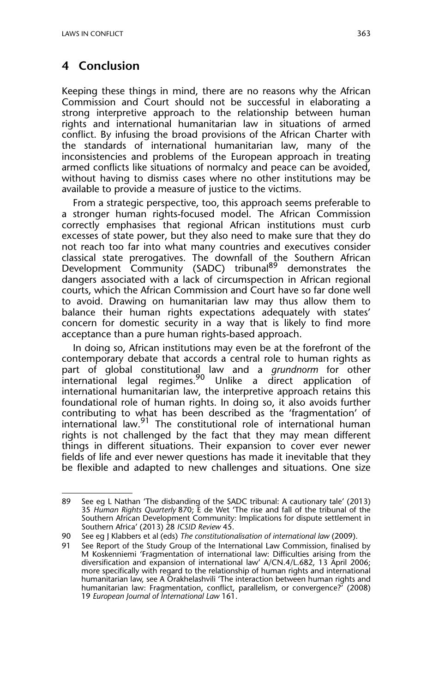#### **4 Conclusion**

Keeping these things in mind, there are no reasons why the African Commission and Court should not be successful in elaborating a strong interpretive approach to the relationship between human rights and international humanitarian law in situations of armed conflict. By infusing the broad provisions of the African Charter with the standards of international humanitarian law, many of the inconsistencies and problems of the European approach in treating armed conflicts like situations of normalcy and peace can be avoided, without having to dismiss cases where no other institutions may be available to provide a measure of justice to the victims.

From a strategic perspective, too, this approach seems preferable to a stronger human rights-focused model. The African Commission correctly emphasises that regional African institutions must curb excesses of state power, but they also need to make sure that they do not reach too far into what many countries and executives consider classical state prerogatives. The downfall of the Southern African Development Community (SADC) tribunal<sup>89</sup> demonstrates the dangers associated with a lack of circumspection in African regional courts, which the African Commission and Court have so far done well to avoid. Drawing on humanitarian law may thus allow them to balance their human rights expectations adequately with states' concern for domestic security in a way that is likely to find more acceptance than a pure human rights-based approach.

In doing so, African institutions may even be at the forefront of the contemporary debate that accords a central role to human rights as part of global constitutional law and a *grundnorm* for other international legal regimes.90 Unlike a direct application of international humanitarian law, the interpretive approach retains this foundational role of human rights. In doing so, it also avoids further contributing to what has been described as the 'fragmentation' of international law.<sup>91</sup> The constitutional role of international human rights is not challenged by the fact that they may mean different things in different situations. Their expansion to cover ever newer fields of life and ever newer questions has made it inevitable that they be flexible and adapted to new challenges and situations. One size

<sup>89</sup> See eg L Nathan 'The disbanding of the SADC tribunal: A cautionary tale' (2013) 35 *Human Rights Quarterly* 870; E de Wet 'The rise and fall of the tribunal of the Southern African Development Community: Implications for dispute settlement in Southern Africa' (2013) 28 *ICSID Review* 45.

<sup>90</sup> See eg J Klabbers et al (eds) *The constitutionalisation of international law* (2009).

<sup>91</sup> See Report of the Study Group of the International Law Commission, finalised by M Koskenniemi 'Fragmentation of international law: Difficulties arising from the diversification and expansion of international law' A/CN.4/L.682, 13 April 2006; more specifically with regard to the relationship of human rights and international humanitarian law, see A Orakhelashvili 'The interaction between human rights and humanitarian law: Fragmentation, conflict, parallelism, or convergence?' (2008) 19 *European Journal of International Law* 161.